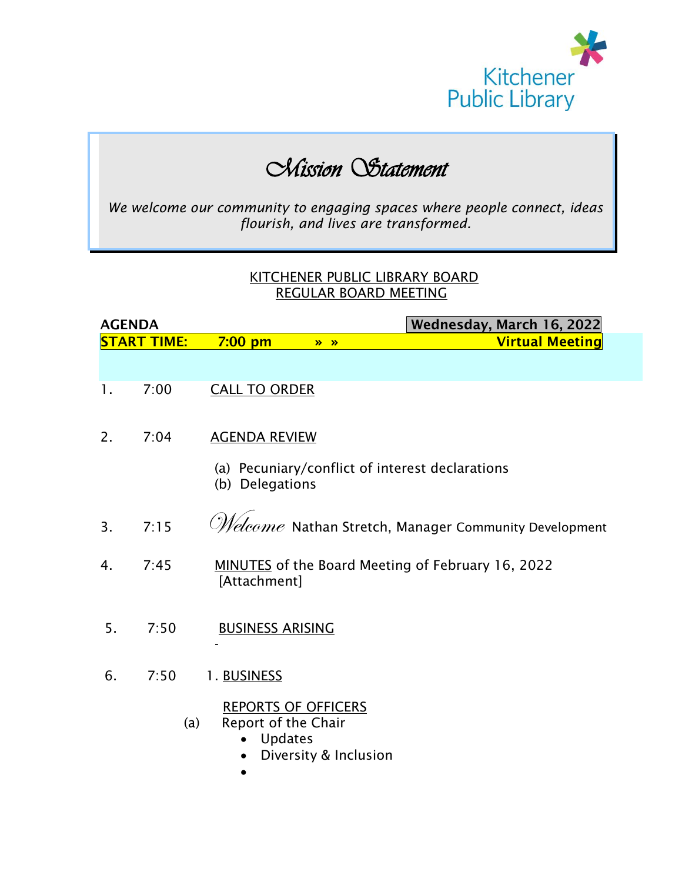

# *Mission Statement*

*We welcome our community to engaging spaces where people connect, ideas flourish, and lives are transformed.*

#### KITCHENER PUBLIC LIBRARY BOARD REGULAR BOARD MEETING

| <b>AGENDA</b>  |                    | Wednesday, March 16, 2022                                                        |                       |                                                                       |
|----------------|--------------------|----------------------------------------------------------------------------------|-----------------------|-----------------------------------------------------------------------|
|                | <b>START TIME:</b> | $7:00$ pm                                                                        | $\lambda$             | <b>Virtual Meeting</b>                                                |
|                |                    |                                                                                  |                       |                                                                       |
| $\mathbf{1}$ . | 7:00               | <b>CALL TO ORDER</b>                                                             |                       |                                                                       |
| 2.             | 7:04               | <b>AGENDA REVIEW</b>                                                             |                       |                                                                       |
|                |                    | (b) Delegations                                                                  |                       | (a) Pecuniary/conflict of interest declarations                       |
| 3 <sub>1</sub> | 7:15               |                                                                                  |                       | $\mathscr{M}\!\!eleome$ Nathan Stretch, Manager Community Development |
| 4.             | 7:45               | [Attachment]                                                                     |                       | <b>MINUTES</b> of the Board Meeting of February 16, 2022              |
| 5.             | 7:50               | <b>BUSINESS ARISING</b>                                                          |                       |                                                                       |
| 6.             | 7:50               | 1. BUSINESS                                                                      |                       |                                                                       |
|                | (a)                | <b>REPORTS OF OFFICERS</b><br>Report of the Chair<br><b>Updates</b><br>$\bullet$ | Diversity & Inclusion |                                                                       |